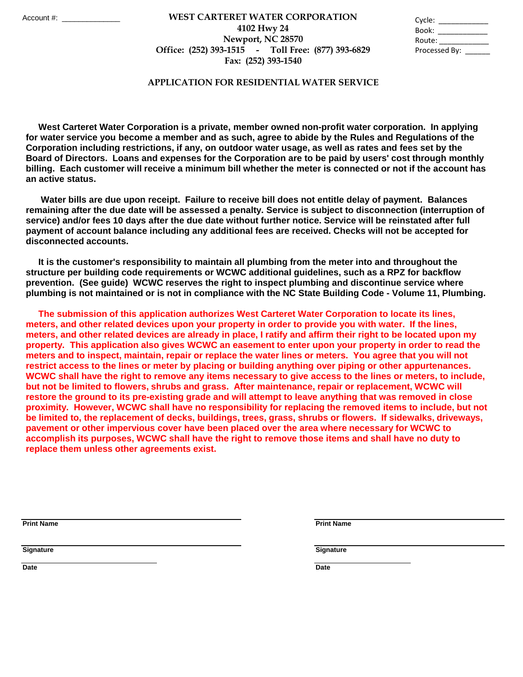## **Fax: (252) 393-1540 WEST CARTERET WATER CORPORATION** Account #: \_\_\_\_\_\_\_\_\_\_\_\_\_\_ Cycle: \_\_\_\_\_\_\_\_\_\_\_\_ **4102 Hwy 24 Newport, NC 28570 Office: (252) 393-1515 - Toll Free: (877) 393-6829**

| Cycle:        |  |
|---------------|--|
| Book:         |  |
| Route:        |  |
| Processed By: |  |

## **APPLICATION FOR RESIDENTIAL WATER SERVICE**

 **West Carteret Water Corporation is a private, member owned non-profit water corporation. In applying for water service you become a member and as such, agree to abide by the Rules and Regulations of the Corporation including restrictions, if any, on outdoor water usage, as well as rates and fees set by the Board of Directors. Loans and expenses for the Corporation are to be paid by users' cost through monthly billing. Each customer will receive a minimum bill whether the meter is connected or not if the account has an active status.** 

 **Water bills are due upon receipt. Failure to receive bill does not entitle delay of payment. Balances remaining after the due date will be assessed a penalty. Service is subject to disconnection (interruption of service) and/or fees 10 days after the due date without further notice. Service will be reinstated after full payment of account balance including any additional fees are received. Checks will not be accepted for disconnected accounts.** 

 **It is the customer's responsibility to maintain all plumbing from the meter into and throughout the structure per building code requirements or WCWC additional guidelines, such as a RPZ for backflow prevention. (See guide) WCWC reserves the right to inspect plumbing and discontinue service where plumbing is not maintained or is not in compliance with the NC State Building Code - Volume 11, Plumbing.** 

 **The submission of this application authorizes West Carteret Water Corporation to locate its lines, meters, and other related devices upon your property in order to provide you with water. If the lines, meters, and other related devices are already in place, I ratify and affirm their right to be located upon my property. This application also gives WCWC an easement to enter upon your property in order to read the meters and to inspect, maintain, repair or replace the water lines or meters. You agree that you will not restrict access to the lines or meter by placing or building anything over piping or other appurtenances. WCWC shall have the right to remove any items necessary to give access to the lines or meters, to include, but not be limited to flowers, shrubs and grass. After maintenance, repair or replacement, WCWC will restore the ground to its pre-existing grade and will attempt to leave anything that was removed in close proximity. However, WCWC shall have no responsibility for replacing the removed items to include, but not be limited to, the replacement of decks, buildings, trees, grass, shrubs or flowers. If sidewalks, driveways, pavement or other impervious cover have been placed over the area where necessary for WCWC to accomplish its purposes, WCWC shall have the right to remove those items and shall have no duty to replace them unless other agreements exist.** 

**Print Name Print Name**

**Signature Signature**

**Date Date**